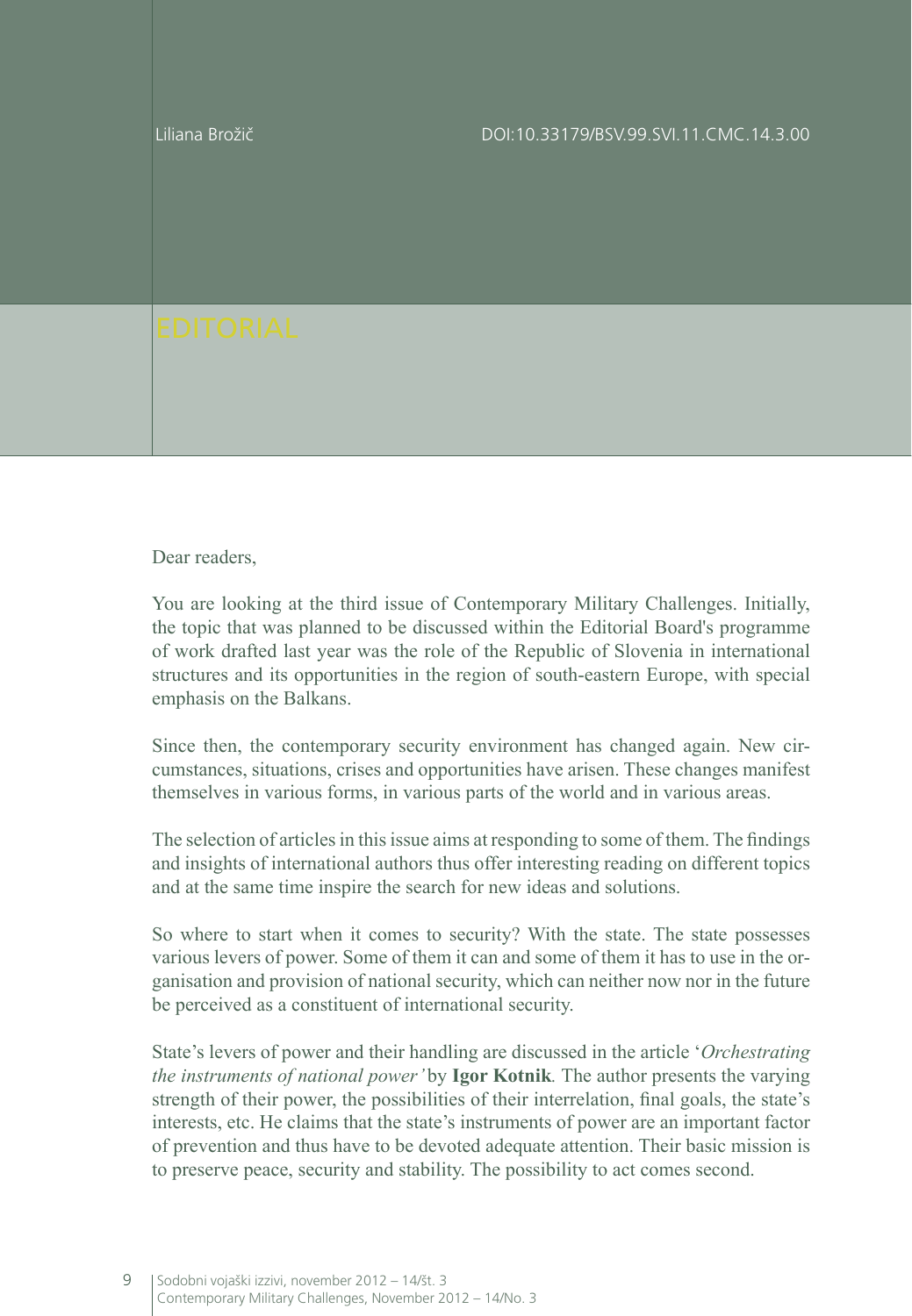DOI:10.33179/BSV.99.SVI.11.CMC.14.3.00

Liliana Brožič

Dear readers.

You are looking at the third issue of Contemporary Military Challenges. Initially, the topic that was planned to be discussed within the Editorial Board's programme of work drafted last year was the role of the Republic of Slovenia in international structures and its opportunities in the region of south-eastern Europe, with special emphasis on the Balkans.

Since then, the contemporary security environment has changed again. New circumstances, situations, crises and opportunities have arisen. These changes manifest themselves in various forms, in various parts of the world and in various areas.

The selection of articles in this issue aims at responding to some of them. The findings and insights of international authors thus offer interesting reading on different topics and at the same time inspire the search for new ideas and solutions.

So where to start when it comes to security? With the state. The state possesses various levers of power. Some of them it can and some of them it has to use in the organisation and provision of national security, which can neither now nor in the future be perceived as a constituent of international security.

State's levers of power and their handling are discussed in the article '*Orchestrating the instruments of national power'* by **Igor Kotnik***.* The author presents the varying strength of their power, the possibilities of their interrelation, final goals, the state's interests, etc. He claims that the state's instruments of power are an important factor of prevention and thus have to be devoted adequate attention. Their basic mission is to preserve peace, security and stability. The possibility to act comes second.